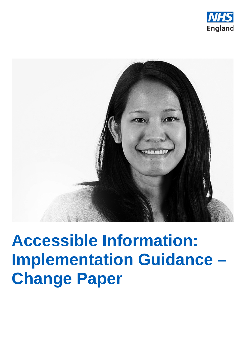



# **Accessible Information: Implementation Guidance – Change Paper**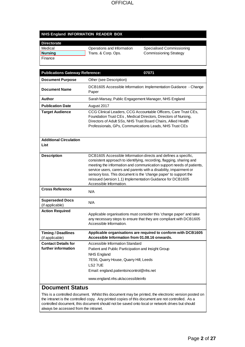#### **NHS England INFORMATION READER BOX**

| <b>Directorate</b> |                            |                               |
|--------------------|----------------------------|-------------------------------|
| Medical            | Operations and Information | Specialised Commissioning     |
| Nursing            | Trans. & Corp. Ops.        | <b>Commissioning Strategy</b> |
| Finance            |                            |                               |

| <b>Publications Gateway Reference:</b>            | 07071                                                                                                                                                                                                                                                                                                                                                                                                                                             |  |  |  |
|---------------------------------------------------|---------------------------------------------------------------------------------------------------------------------------------------------------------------------------------------------------------------------------------------------------------------------------------------------------------------------------------------------------------------------------------------------------------------------------------------------------|--|--|--|
| <b>Document Purpose</b>                           | Other (see Description)                                                                                                                                                                                                                                                                                                                                                                                                                           |  |  |  |
| <b>Document Name</b>                              | DCB1605 Accessible Information: Implementation Guidance - Change<br>Paper                                                                                                                                                                                                                                                                                                                                                                         |  |  |  |
| <b>Author</b>                                     | Sarah Marsay, Public Engagement Manager, NHS England                                                                                                                                                                                                                                                                                                                                                                                              |  |  |  |
| <b>Publication Date</b>                           | August 2017                                                                                                                                                                                                                                                                                                                                                                                                                                       |  |  |  |
| <b>Target Audience</b>                            | CCG Clinical Leaders, CCG Accountable Officers, Care Trust CEs,<br>Foundation Trust CEs, Medical Directors, Directors of Nursing,<br>Directors of Adult SSs, NHS Trust Board Chairs, Allied Health<br>Professionals, GPs, Communications Leads, NHS Trust CEs                                                                                                                                                                                     |  |  |  |
| <b>Additional Circulation</b><br>List             |                                                                                                                                                                                                                                                                                                                                                                                                                                                   |  |  |  |
| <b>Description</b>                                | DCB1605 Accessible Information directs and defines a specific,<br>consistent approach to identifying, recording, flagging, sharing and<br>meeting the information and communication support needs of patients,<br>service users, carers and parents with a disability, impairment or<br>sensory loss. This document is the 'change paper' to support the<br>reissued (version 1.1) Implementation Guidance for DCB1605<br>Accessible Information. |  |  |  |
| <b>Cross Reference</b>                            | N/A                                                                                                                                                                                                                                                                                                                                                                                                                                               |  |  |  |
| <b>Superseded Docs</b><br>(if applicable)         | N/A                                                                                                                                                                                                                                                                                                                                                                                                                                               |  |  |  |
| <b>Action Required</b>                            | Applicable organisations must consider this 'change paper' and take<br>any necessary steps to ensure that they are compliant with DCB1605<br>Accessible Information.                                                                                                                                                                                                                                                                              |  |  |  |
| <b>Timing / Deadlines</b><br>(if applicable)      | Applicable organisations are required to conform with DCB1605<br>Accessible Information from 01.08.16 onwards.                                                                                                                                                                                                                                                                                                                                    |  |  |  |
| <b>Contact Details for</b><br>further information | Accessible Information Standard<br>Patient and Public Participation and Insight Group<br>NHS England<br>7E56, Quarry House, Quarry Hill, Leeds<br>LS2 7UE<br>Email: england.patientsincontrol@nhs.net<br>www.england.nhs.uk/accessibleinfo                                                                                                                                                                                                        |  |  |  |
| <b>Document Status</b>                            |                                                                                                                                                                                                                                                                                                                                                                                                                                                   |  |  |  |

This is a controlled document. Whilst this document may be printed, the electronic version posted on the intranet is the controlled copy. Any printed copies of this document are not controlled. As a controlled document, this document should not be saved onto local or network drives but should always be accessed from the intranet.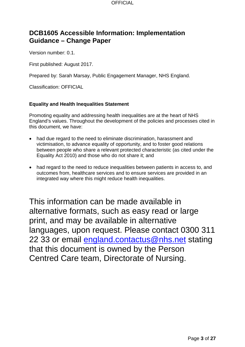# **DCB1605 Accessible Information: Implementation Guidance – Change Paper**

Version number: 0.1.

First published: August 2017.

Prepared by: Sarah Marsay, Public Engagement Manager, NHS England.

Classification: OFFICIAL

#### **Equality and Health Inequalities Statement**

Promoting equality and addressing health inequalities are at the heart of NHS England's values. Throughout the development of the policies and processes cited in this document, we have:

- had due regard to the need to eliminate discrimination, harassment and victimisation, to advance equality of opportunity, and to foster good relations between people who share a relevant protected characteristic (as cited under the Equality Act 2010) and those who do not share it; and
- had regard to the need to reduce inequalities between patients in access to, and outcomes from, healthcare services and to ensure services are provided in an integrated way where this might reduce health inequalities.

This information can be made available in alternative formats, such as easy read or large print, and may be available in alternative languages, upon request. Please contact 0300 311 22 33 or email [england.contactus@nhs.net](mailto:england.contactus@nhs.net) stating that this document is owned by the Person Centred Care team, Directorate of Nursing.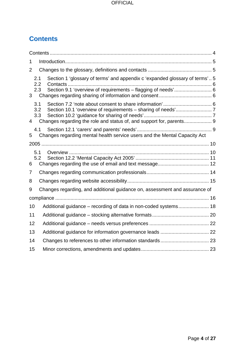# <span id="page-3-0"></span>**Contents**

| 1              |                                     |                                                                                                                                             |  |  |  |  |
|----------------|-------------------------------------|---------------------------------------------------------------------------------------------------------------------------------------------|--|--|--|--|
| 2              |                                     |                                                                                                                                             |  |  |  |  |
|                | 2.1<br>2.2<br>2.3<br>3 <sup>7</sup> | Section 1 'glossary of terms' and appendix c 'expanded glossary of terms' 5<br>Section 9.1 'overview of requirements - flagging of needs' 6 |  |  |  |  |
| $\overline{4}$ | 3.1<br>3.2<br>3.3                   |                                                                                                                                             |  |  |  |  |
| 5              | 4.1                                 | Changes regarding mental health service users and the Mental Capacity Act                                                                   |  |  |  |  |
|                |                                     |                                                                                                                                             |  |  |  |  |
| 6              | 5.1<br>5.2                          |                                                                                                                                             |  |  |  |  |
| 7              |                                     |                                                                                                                                             |  |  |  |  |
| 8              |                                     |                                                                                                                                             |  |  |  |  |
| 9              |                                     | Changes regarding, and additional guidance on, assessment and assurance of                                                                  |  |  |  |  |
|                |                                     |                                                                                                                                             |  |  |  |  |
| 10             |                                     | Additional guidance - recording of data in non-coded systems 18                                                                             |  |  |  |  |
| 11             |                                     |                                                                                                                                             |  |  |  |  |
| 12             |                                     |                                                                                                                                             |  |  |  |  |
| 13             |                                     |                                                                                                                                             |  |  |  |  |
| 14             |                                     |                                                                                                                                             |  |  |  |  |
| 15             |                                     |                                                                                                                                             |  |  |  |  |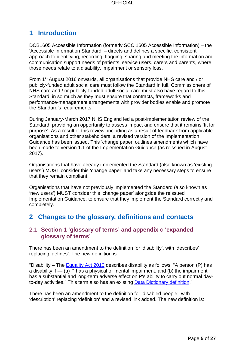# <span id="page-4-0"></span>**1 Introduction**

DCB1605 Accessible Information (formerly SCCI1605 Accessible Information) – the 'Accessible Information Standard' – directs and defines a specific, consistent approach to identifying, recording, flagging, sharing and meeting the information and communication support needs of patients, service users, carers and parents, where those needs relate to a disability, impairment or sensory loss.

From 1<sup>st</sup> August 2016 onwards, all organisations that provide NHS care and / or publicly-funded adult social care must follow the Standard in full. Commissioners of NHS care and / or publicly-funded adult social care must also have regard to this Standard, in so much as they must ensure that contracts, frameworks and performance-management arrangements with provider bodies enable and promote the Standard's requirements.

During January-March 2017 NHS England led a post-implementation review of the Standard, providing an opportunity to assess impact and ensure that it remains 'fit for purpose'. As a result of this review, including as a result of feedback from applicable organisations and other stakeholders, a revised version of the Implementation Guidance has been issued. This 'change paper' outlines amendments which have been made to version 1.1 of the Implementation Guidance (as reissued in August 2017).

Organisations that have already implemented the Standard (also known as 'existing users') MUST consider this 'change paper' and take any necessary steps to ensure that they remain compliant.

Organisations that have not previously implemented the Standard (also known as 'new users') MUST consider this 'change paper' alongside the reissued Implementation Guidance, to ensure that they implement the Standard correctly and completely.

# <span id="page-4-1"></span>**2 Changes to the glossary, definitions and contacts**

## <span id="page-4-2"></span>2.1 **Section 1 'glossary of terms' and appendix c 'expanded glossary of terms'**

There has been an amendment to the definition for 'disability', with 'describes' replacing 'defines'. The new definition is:

"Disability – The Equality Act  $2010$  describes disability as follows, "A person (P) has a disability if — (a) P has a physical or mental impairment, and (b) the impairment has a substantial and long-term adverse effect on P's ability to carry out normal dayto-day activities." This term also has an existing **Data Dictionary definition.**"

There has been an amendment to the definition for 'disabled people', with 'description' replacing 'definition' and a revised link added. The new definition is: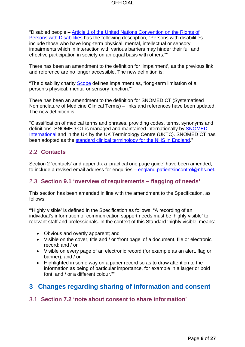"Disabled people – [Article 1 of the United Nations Convention on the Rights of](http://www.un.org/disabilities/documents/convention/convention_accessible_pdf.pdf)  [Persons with](http://www.un.org/disabilities/documents/convention/convention_accessible_pdf.pdf) Disabilities has the following description, "Persons with disabilities include those who have long-term physical, mental, intellectual or sensory impairments which in interaction with various barriers may hinder their full and effective participation in society on an equal basis with others.""

There has been an amendment to the definition for 'impairment', as the previous link and reference are no longer accessible. The new definition is:

"The disability charity **Scope** defines impairment as, "long-term limitation of a person's physical, mental or sensory function.""

There has been an amendment to the definition for SNOMED CT (Systematised Nomenclature of Medicine Clinical Terms) – links and references have been updated. The new definition is:

"Classification of medical terms and phrases, providing codes, terms, synonyms and definitions. SNOMED CT is managed and maintained internationally by [SNOMED](http://www.snomed.org/)  [International](http://www.snomed.org/) and in the UK by the UK Terminology Centre (UKTC). SNOMED CT has been adopted as the [standard clinical terminology for the NHS in England.](https://digital.nhs.uk/snomed-ct)"

## <span id="page-5-0"></span>2.2 **Contacts**

Section 2 'contacts' and appendix a 'practical one page guide' have been amended, to include a revised email address for enquiries – [england.patientsincontrol@nhs.net.](mailto:england.patientsincontrol@nhs.net)

## <span id="page-5-1"></span>2.3 **Section 9.1 'overview of requirements – flagging of needs'**

This section has been amended in line with the amendment to the Specification, as follows:

"'Highly visible' is defined in the Specification as follows: "A recording of an individual's information or communication support needs must be 'highly visible' to relevant staff and professionals. In the context of this Standard 'highly visible' means:

- Obvious and overtly apparent; and
- Visible on the cover, title and / or 'front page' of a document, file or electronic record; and / or
- Visible on every page of an electronic record (for example as an alert, flag or banner); and / or
- Highlighted in some way on a paper record so as to draw attention to the information as being of particular importance, for example in a larger or bold font, and / or a different colour.""

## <span id="page-5-2"></span>**3 Changes regarding sharing of information and consent**

## <span id="page-5-3"></span>3.1 **Section 7.2 'note about consent to share information'**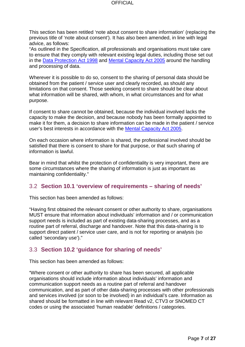This section has been retitled 'note about consent to share information' (replacing the previous title of 'note about consent'). It has also been amended, in line with legal advice, as follows:

"As outlined in the Specification, all professionals and organisations must take care to ensure that they comply with relevant existing legal duties, including those set out in the [Data Protection Act 1998](http://www.legislation.gov.uk/ukpga/1998/29/contents) and [Mental Capacity Act 2005](http://www.legislation.gov.uk/ukpga/2005/9/contents) around the handling and processing of data.

Wherever it is possible to do so, consent to the sharing of personal data should be obtained from the patient / service user and clearly recorded, as should any limitations on that consent. Those seeking consent to share should be clear about what information will be shared, with whom, in what circumstances and for what purpose.

If consent to share cannot be obtained, because the individual involved lacks the capacity to make the decision, and because nobody has been formally appointed to make it for them, a decision to share information can be made in the patient / service user's best interests in accordance with the [Mental Capacity Act 2005.](http://www.legislation.gov.uk/ukpga/2005/9/contents)

On each occasion where information is shared, the professional involved should be satisfied that there is consent to share for that purpose, or that such sharing of information is lawful.

Bear in mind that whilst the protection of confidentiality is very important, there are some circumstances where the sharing of information is just as important as maintaining confidentiality."

## <span id="page-6-0"></span>3.2 **Section 10.1 'overview of requirements – sharing of needs'**

This section has been amended as follows:

"Having first obtained the relevant consent or other authority to share, organisations MUST ensure that information about individuals' information and / or communication support needs is included as part of existing data-sharing processes, and as a routine part of referral, discharge and handover. Note that this data-sharing is to support direct patient / service user care, and is not for reporting or analysis (so called 'secondary use')."

## <span id="page-6-1"></span>3.3 **Section 10.2 'guidance for sharing of needs'**

This section has been amended as follows:

"Where consent or other authority to share has been secured, all applicable organisations should include information about individuals' information and communication support needs as a routine part of referral and handover communication, and as part of other data-sharing processes with other professionals and services involved (or soon to be involved) in an individual's care. Information as shared should be formatted in line with relevant Read v2, CTV3 or SNOMED CT codes or using the associated 'human readable' definitions / categories.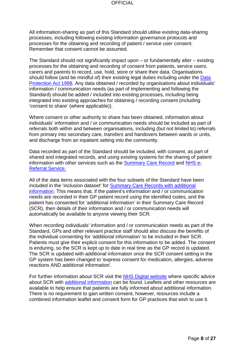All information-sharing as part of this Standard should utilise existing data-sharing processes, including following existing information governance protocols and processes for the obtaining and recording of patient / service user consent. Remember that consent cannot be assumed.

The Standard should not significantly impact upon – or fundamentally alter – existing processes for the obtaining and recording of consent from patients, service users, carers and parents to record, use, hold, store or share their data. Organisations should follow (and be mindful of) their existing legal duties including under the [Data](http://www.legislation.gov.uk/ukpga/1998/29/contents)  [Protection Act 1998.](http://www.legislation.gov.uk/ukpga/1998/29/contents) Any data obtained / recorded by organisations about individuals' information / communication needs (as part of implementing and following the Standard) should be added / included into existing processes, including being integrated into existing approaches for obtaining / recording consent (including 'consent to share' (where applicable)).

Where consent or other authority to share has been obtained, information about individuals' information and / or communication needs should be included as part of referrals both within and between organisations, including (but not limited to) referrals from primary into secondary care, transfers and handovers between wards or units, and discharge from an inpatient setting into the community.

Data recorded as part of the Standard should be included, with consent, as part of shared and integrated records, and using existing systems for the sharing of patient information with other services such as the [Summary Care Record](http://systems.hscic.gov.uk/scr) and [NHS e-](http://content.digital.nhs.uk/referrals)[Referral Service.](http://content.digital.nhs.uk/referrals)

All of the data items associated with the four subsets of the Standard have been included in the 'inclusion dataset' for [Summary Care Records with additional](https://digital.nhs.uk/summary-care-records/additional-information)  [information.](https://digital.nhs.uk/summary-care-records/additional-information) This means that, if the patient's information and / or communication needs are recorded in their GP patient record using the identified codes, and the patient has consented for 'additional information' in their Summary Care Record (SCR), then details of their information and / or communication needs will automatically be available to anyone viewing their SCR.

When recording individuals' information and / or communication needs as part of the Standard, GPs and other relevant practice staff should also discuss the benefits of the individual consenting for 'additional information' to be included in their SCR. Patients must give their explicit consent for this information to be added. The consent is enduring, so the SCR is kept up to date in real time as the GP record is updated. The SCR is updated with additional information once the SCR consent setting in the GP system has been changed to 'express consent for medication, allergies, adverse reactions AND additional information'.

For further information about SCR visit the **NHS Digital website** where specific advice about SCR with [additional information](https://digital.nhs.uk/summary-care-records/additional-information) can be found. Leaflets and other resources are available to help ensure that patients are fully informed about additional information. There is no requirement to gain written consent, however, resources include a combined information leaflet and consent form for GP practices that wish to use it.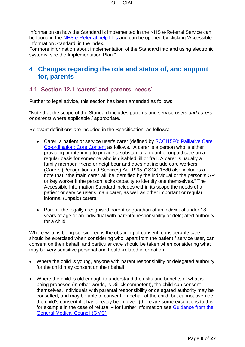Information on how the Standard is implemented in the NHS e-Referral Service can be found in the [NHS e-Referral help files](https://nww.ebs.ncrs.nhs.uk/ers-help/index.htm) and can be opened by clicking 'Accessible Information Standard' in the index.

For more information about implementation of the Standard into and using electronic systems, see the Implementation Plan."

# <span id="page-8-0"></span>**4 Changes regarding the role and status of, and support for, parents**

## <span id="page-8-1"></span>4.1 **Section 12.1 'carers' and parents' needs'**

Further to legal advice, this section has been amended as follows:

"Note that the scope of the Standard includes patients and service users *and carers or parents* where applicable / appropriate.

Relevant definitions are included in the Specification, as follows:

- Carer: a patient or service user's carer (defined by **SCCI1580: Palliative Care** [Co-ordination: Core Content](http://content.digital.nhs.uk/isce/publication/SCCI1580) as follows, "A carer is a person who is either providing or intending to provide a substantial amount of unpaid care on a regular basis for someone who is disabled, ill or frail. A carer is usually a family member, friend or neighbour and does not include care workers. (Carers (Recognition and Services) Act 1995.)" SCCI1580 also includes a note that, "the main carer will be identified by the individual or the person's GP or key worker if the person lacks capacity to identify one themselves." The Accessible Information Standard includes within its scope the needs of a patient or service user's main carer, as well as other important or regular informal (unpaid) carers.
- Parent: the legally recognised parent or guardian of an individual under 18 years of age or an individual with parental responsibility or delegated authority for a child.

Where what is being considered is the obtaining of consent, considerable care should be exercised when considering who, apart from the patient / service user, can consent on their behalf, and particular care should be taken when considering what may be very sensitive personal and health-related information:

- Where the child is young, anyone with parent responsibility or delegated authority for the child may consent on their behalf.
- Where the child is old enough to understand the risks and benefits of what is being proposed (in other words, is Gillick competent), the child can consent themselves. Individuals with parental responsibility or delegated authority may be consulted, and may be able to consent on behalf of the child, but cannot override the child's consent if it has already been given (there are some exceptions to this, for example in the case of refusal – for further information see [Guidance from the](http://www.gmc-uk.org/guidance/ethical_guidance/children_guidance_30_33_refuse_treatment.asp)  [General Medical Council \(GMC\).](http://www.gmc-uk.org/guidance/ethical_guidance/children_guidance_30_33_refuse_treatment.asp)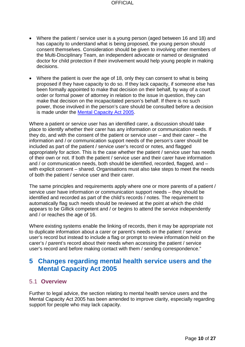- Where the patient / service user is a young person (aged between 16 and 18) and has capacity to understand what is being proposed, the young person should consent themselves. Consideration should be given to involving other members of the Multi-Disciplinary Team, an independent advocate or named or designated doctor for child protection if their involvement would help young people in making decisions.
- Where the patient is over the age of 18, only they can consent to what is being proposed if they have capacity to do so. If they lack capacity, if someone else has been formally appointed to make that decision on their behalf, by way of a court order or formal power of attorney in relation to the issue in question, they can make that decision on the incapacitated person's behalf. If there is no such power, those involved in the person's care should be consulted before a decision is made under the [Mental Capacity Act 2005.](http://www.legislation.gov.uk/ukpga/2005/9/contents)

Where a patient or service user has an identified carer, a discussion should take place to identify whether their carer has any information or communication needs. If they do, and with the consent of the patient or service user – and their carer – the information and / or communication support needs of the person's carer should be included as part of the patient / service user's record or notes, and flagged appropriately for action. This is the case whether the patient / service user has needs of their own or not. If both the patient / service user and their carer have information and / or communication needs, both should be identified, recorded, flagged, and – with explicit consent – shared. Organisations must also take steps to meet the needs of both the patient / service user and their carer.

The same principles and requirements apply where one or more parents of a patient / service user have information or communication support needs – they should be identified and recorded as part of the child's records / notes. The requirement to automatically flag such needs should be reviewed at the point at which the child appears to be Gillick competent and / or begins to attend the service independently and / or reaches the age of 16.

Where existing systems enable the linking of records, then it may be appropriate not to duplicate information about a carer or parent's needs on the patient / service user's record but instead to include a flag or prompt to review information held on the carer's / parent's record about their needs when accessing the patient / service user's record and before making contact with them / sending correspondence."

## <span id="page-9-0"></span>**5 Changes regarding mental health service users and the Mental Capacity Act 2005**

## <span id="page-9-1"></span>5.1 **Overview**

Further to legal advice, the section relating to mental health service users and the Mental Capacity Act 2005 has been amended to improve clarity, especially regarding support for people who may lack capacity.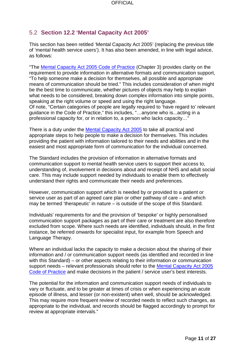## <span id="page-10-0"></span>5.2 **Section 12.2 'Mental Capacity Act 2005'**

This section has been retitled 'Mental Capacity Act 2005' (replacing the previous title of 'mental health service users'). It has also been amended, in line with legal advice, as follows:

"The [Mental Capacity Act 2005 Code of Practice](http://www.legislation.gov.uk/ukpga/2005/9/pdfs/ukpgacop_20050009_en.pdf) (Chapter 3) provides clarity on the requirement to provide information in alternative formats and communication support, "To help someone make a decision for themselves, all possible and appropriate means of communication should be tried." This includes consideration of when might be the best time to communicate, whether pictures of objects may help to explain what needs to be considered, breaking down complex information into simple points, speaking at the right volume or speed and using the right language. Of note, "Certain categories of people are legally required to 'have regard to' relevant guidance in the Code of Practice," this includes, "…anyone who is...acting in a professional capacity for, or in relation to, a person who lacks capacity…"

There is a duty under the [Mental Capacity Act 2005](http://www.legislation.gov.uk/ukpga/2005/9/contents) to take all practical and appropriate steps to help people to make a decision for themselves. This includes providing the patient with information tailored to their needs and abilities and in the easiest and most appropriate form of communication for the individual concerned.

The Standard includes the provision of information in alternative formats and communication support to mental health service users to support their access to, understanding of, involvement in decisions about and receipt of NHS and adult social care. This may include support needed by individuals to enable them to effectively understand their rights and communicate their needs and preferences.

However, communication support which is needed by or provided to a patient or service user as part of an agreed care plan or other pathway of care – and which may be termed 'therapeutic' in nature – is outside of the scope of this Standard.

Individuals' requirements for and the provision of 'bespoke' or highly personalised communication support packages as part of their care or treatment are also therefore excluded from scope. Where such needs are identified, individuals should, in the first instance, be referred onwards for specialist input, for example from Speech and Language Therapy.

Where an individual lacks the capacity to make a decision about the sharing of their information and / or communication support needs (as identified and recorded in line with this Standard) – or other aspects relating to their information or communication support needs – relevant professionals should refer to the [Mental Capacity Act 2005](http://www.legislation.gov.uk/ukpga/2005/9/pdfs/ukpgacop_20050009_en.pdf)  [Code of Practice](http://www.legislation.gov.uk/ukpga/2005/9/pdfs/ukpgacop_20050009_en.pdf) and make decisions in the patient / service user's best interests.

The potential for the information and communication support needs of individuals to vary or fluctuate, and to be greater at times of crisis or when experiencing an acute episode of illness, and lesser (or non-existent) when well, should be acknowledged. This may require more frequent review of recorded needs to reflect such changes, as appropriate to the individual, and records should be flagged accordingly to prompt for review at appropriate intervals."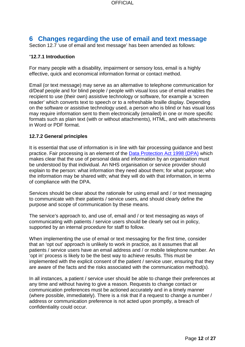# <span id="page-11-0"></span>**6 Changes regarding the use of email and text message**

Section 12.7 'use of email and text message' has been amended as follows:

#### "**12.7.1 Introduction**

For many people with a disability, impairment or sensory loss, email is a highly effective, quick and economical information format or contact method.

Email (or text message) may serve as an alternative to telephone communication for d/Deaf people and for blind people / people with visual loss use of email enables the recipient to use (their own) assistive technology or software, for example a 'screen reader' which converts text to speech or to a refreshable braille display. Depending on the software or assistive technology used, a person who is blind or has visual loss may require information sent to them electronically (emailed) in one or more specific formats such as plain text (with or without attachments), HTML, and with attachments in Word or PDF format.

#### **12.7.2 General principles**

It is essential that use of information is in line with fair processing guidance and best practice. Fair processing is an element of the [Data Protection Act 1998 \(DPA\)](http://www.legislation.gov.uk/ukpga/1998/29/contents) which makes clear that the use of personal data and information by an organisation must be understood by that individual. An NHS organisation or service provider should explain to the person: what information they need about them; for what purpose; who the information may be shared with; what they will do with that information, in terms of compliance with the DPA.

Services should be clear about the rationale for using email and / or text messaging to communicate with their patients / service users, and should clearly define the purpose and scope of communication by these means.

The service's approach to, and use of, email and / or text messaging as ways of communicating with patients / service users should be clearly set out in policy, supported by an internal procedure for staff to follow.

When implementing the use of email or text messaging for the first time, consider that an 'opt out' approach is unlikely to work in practice, as it assumes that all patients / service users have an email address and / or mobile telephone number. An 'opt in' process is likely to be the best way to achieve results. This must be implemented with the explicit consent of the patient / service user, ensuring that they are aware of the facts and the risks associated with the communication method(s).

In all instances, a patient / service user should be able to change their preferences at any time and without having to give a reason. Requests to change contact or communication preferences must be actioned accurately and in a timely manner (where possible, immediately). There is a risk that if a request to change a number / address or communication preference is not acted upon promptly, a breach of confidentiality could occur.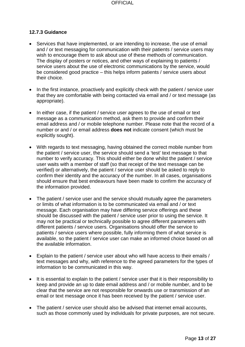#### **12.7.3 Guidance**

- Services that have implemented, or are intending to increase, the use of email and / or text messaging for communication with their patients / service users may wish to encourage them to ask about use of these methods of communication. The display of posters or notices, and other ways of explaining to patients / service users about the use of electronic communications by the service, would be considered good practice – this helps inform patients / service users about their choice.
- In the first instance, proactively and explicitly check with the patient / service user that they are comfortable with being contacted via email and / or text message (as appropriate).
- In either case, if the patient / service user agrees to the use of email or text message as a communication method, ask them to provide and confirm their email address and / or mobile telephone number. Please note that the record of a number or and / or email address **does not** indicate consent (which must be explicitly sought).
- With regards to text messaging, having obtained the correct mobile number from the patient / service user, the service should send a 'test' text message to that number to verify accuracy. This should either be done whilst the patient / service user waits with a member of staff (so that receipt of the text message can be verified) or alternatively, the patient / service user should be asked to reply to confirm their identity and the accuracy of the number. In all cases, organisations should ensure that best endeavours have been made to confirm the accuracy of the information provided.
- The patient / service user and the service should mutually agree the parameters or limits of what information is to be communicated via email and / or text message. Each organisation may have differing service offerings and these should be discussed with the patient / service user prior to using the service. It may not be practical or technically possible to agree different parameters with different patients / service users. Organisations should offer the service to patients / service users where possible, fully informing them of what service is available, so the patient / service user can make an informed choice based on all the available information.
- Explain to the patient / service user about who will have access to their emails / text messages and why, with reference to the agreed parameters for the types of information to be communicated in this way.
- It is essential to explain to the patient / service user that it is their responsibility to keep and provide an up to date email address and / or mobile number, and to be clear that the service are not responsible for onwards use or transmission of an email or text message once it has been received by the patient / service user.
- The patient / service user should also be advised that internet email accounts, such as those commonly used by individuals for private purposes, are not secure.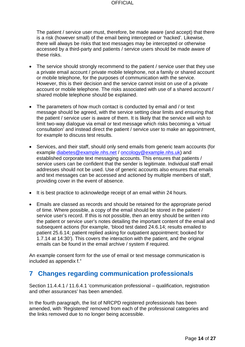The patient / service user must, therefore, be made aware (and accept) that there is a risk (however small) of the email being intercepted or 'hacked'. Likewise, there will always be risks that text messages may be intercepted or otherwise accessed by a third-party and patients / service users should be made aware of these risks.

- The service should strongly recommend to the patient / service user that they use a private email account / private mobile telephone, not a family or shared account or mobile telephone, for the purposes of communication with the service. However, this is their decision and the service cannot insist on use of a private account or mobile telephone. The risks associated with use of a shared account / shared mobile telephone should be explained.
- The parameters of how much contact is conducted by email and / or text message should be agreed, with the service setting clear limits and ensuring that the patient / service user is aware of them. It is likely that the service will wish to limit two-way dialogue via email or text message which risks becoming a 'virtual consultation' and instead direct the patient / service user to make an appointment, for example to discuss test results.
- Services, and their staff, should only send emails from generic team accounts (for example [diabetes@example.nhs.net](mailto:diabetes@example.nhs.net) / [oncology@example.nhs.uk\)](mailto:oncology@example.nhs.uk) and established corporate text messaging accounts. This ensures that patients / service users can be confident that the sender is legitimate. Individual staff email addresses should not be used. Use of generic accounts also ensures that emails and text messages can be accessed and actioned by multiple members of staff, providing cover in the event of absence.
- It is best practice to acknowledge receipt of an email within 24 hours.
- Emails are classed as records and should be retained for the appropriate period of time. Where possible, a copy of the email should be stored in the patient / service user's record. If this is not possible, then an entry should be written into the patient or service user's notes detailing the important content of the email and subsequent actions (for example, 'blood test dated 24.6.14; results emailed to patient 25.6.14; patient replied asking for outpatient appointment; booked for 1.7.14 at 14:30'). This covers the interaction with the patient, and the original emails can be found in the email archive / system if required.

An example consent form for the use of email or text message communication is included as appendix f."

## <span id="page-13-0"></span>**7 Changes regarding communication professionals**

Section 11.4.4.1 / 11.6.4.1 'communication professional – qualification, registration and other assurances' has been amended.

In the fourth paragraph, the list of NRCPD registered professionals has been amended, with 'Registered' removed from each of the professional categories and the links removed due to no longer being accessible.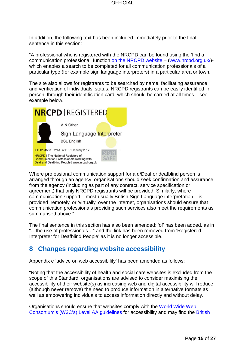In addition, the following text has been included immediately prior to the final sentence in this section:

"A professional who is registered with the NRCPD can be found using the 'find a communication professional' function [on the NRCPD website](http://www.nrcpd.org.uk/) – (www.nrcpd.org.uk/) which enables a search to be completed for all communication professionals of a particular type (for example sign language interpreters) in a particular area or town.

The site also allows for registrants to be searched by name, facilitating assurance and verification of individuals' status. NRCPD registrants can be easily identified 'in person' through their identification card, which should be carried at all times – see example below.



Where professional communication support for a d/Deaf or deafblind person is arranged through an agency, organisations should seek confirmation and assurance from the agency (including as part of any contract, service specification or agreement) that only NRCPD registrants will be provided. Similarly, where communication support – most usually British Sign Language interpretation – is provided 'remotely' or 'virtually' over the internet, organisations should ensure that communication professionals providing such services also meet the requirements as summarised above."

The final sentence in this section has also been amended; 'of' has been added, as in "…the use of professionals…" and the link has been removed from 'Registered Interpreter for Deafblind People' as it is no longer accessible.

# <span id="page-14-0"></span>**8 Changes regarding website accessibility**

Appendix e 'advice on web accessibility' has been amended as follows:

"Noting that the accessibility of health and social care websites is excluded from the scope of this Standard, organisations are advised to consider maximising the accessibility of their website(s) as increasing web and digital accessibility will reduce (although never remove) the need to produce information in alternative formats as well as empowering individuals to access information directly and without delay.

Organisations should ensure that websites comply with the [World Wide Web](http://www.w3.org/WAI/)  [Consortium's \(W3C's\) Level AA guidelines](http://www.w3.org/WAI/) for accessibility and may find the [British](http://shop.bsigroup.com/en/Browse-by-Subject/Accessibility/?t=r)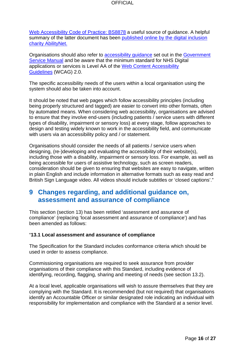[Web Accessibility Code of Practice: BS8878](http://shop.bsigroup.com/en/Browse-by-Subject/Accessibility/?t=r) a useful source of guidance. A helpful summary of the latter document has been published online by the digital inclusion [charity AbilityNet.](http://www.abilitynet.org.uk/accessibility-services/BS8878-Summary)

Organisations should also refer to **accessibility guidance** set out in the **Government** [Service Manual](https://www.gov.uk/service-manual) and be aware that the minimum standard for NHS Digital applications or services is Level AA of the [Web Content Accessibility](http://www.w3.org/TR/WCAG/)  [Guidelines](http://www.w3.org/TR/WCAG/) (WCAG) 2.0.

The specific accessibility needs of the users within a local organisation using the system should also be taken into account.

It should be noted that web pages which follow accessibility principles (including being properly structured and tagged) are easier to convert into other formats, often by automated means. When considering web accessibility, organisations are advised to ensure that they involve end-users (including patients / service users with different types of disability, impairment or sensory loss) at every stage, follow approaches to design and testing widely known to work in the accessibility field, and communicate with users via an accessibility policy and / or statement.

Organisations should consider the needs of all patients / service users when designing, (re-)developing and evaluating the accessibility of their website(s), including those with a disability, impairment or sensory loss. For example, as well as being accessible for users of assistive technology, such as screen readers, consideration should be given to ensuring that websites are easy to navigate, written in plain English and include information in alternative formats such as easy read and British Sign Language video. All videos should include subtitles or 'closed captions'."

## <span id="page-15-0"></span>**9 Changes regarding, and additional guidance on, assessment and assurance of compliance**

This section (section 13) has been retitled 'assessment and assurance of compliance' (replacing 'local assessment and assurance of compliance') and has been amended as follows:

#### "**13.1 Local assessment and assurance of compliance**

The Specification for the Standard includes conformance criteria which should be used in order to assess compliance.

Commissioning organisations are required to seek assurance from provider organisations of their compliance with this Standard, including evidence of identifying, recording, flagging, sharing and meeting of needs (see section 13.2).

At a local level, applicable organisations will wish to assure themselves that they are complying with the Standard. It is recommended (but not required) that organisations identify an Accountable Officer or similar designated role indicating an individual with responsibility for implementation and compliance with the Standard at a senior level.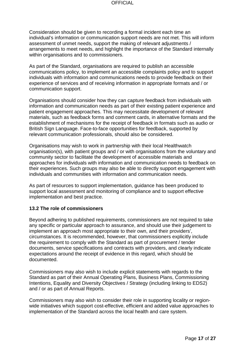Consideration should be given to recording a formal incident each time an individual's information or communication support needs are not met. This will inform assessment of unmet needs, support the making of relevant adjustments / arrangements to meet needs, and highlight the importance of the Standard internally within organisations and to commissioners.

As part of the Standard, organisations are required to publish an accessible communications policy, to implement an accessible complaints policy and to support individuals with information and communications needs to provide feedback on their experience of services and of receiving information in appropriate formats and / or communication support.

Organisations should consider how they can capture feedback from individuals with information and communication needs as part of their existing patient experience and patient engagement approaches. This may necessitate development of relevant materials, such as feedback forms and comment cards, in alternative formats and the establishment of mechanisms for the receipt of feedback in formats such as audio or British Sign Language. Face-to-face opportunities for feedback, supported by relevant communication professionals, should also be considered.

Organisations may wish to work in partnership with their local Healthwatch organisation(s), with patient groups and / or with organisations from the voluntary and community sector to facilitate the development of accessible materials and approaches for individuals with information and communication needs to feedback on their experiences. Such groups may also be able to directly support engagement with individuals and communities with information and communication needs.

As part of resources to support implementation, guidance has been produced to support local assessment and monitoring of compliance and to support effective implementation and best practice.

#### **13.2 The role of commissioners**

Beyond adhering to published requirements, commissioners are not required to take any specific or particular approach to assurance, and should use their judgement to implement an approach most appropriate to their own, and their providers', circumstances. It is recommended, however, that commissioners explicitly include the requirement to comply with the Standard as part of procurement / tender documents, service specifications and contracts with providers, and clearly indicate expectations around the receipt of evidence in this regard, which should be documented.

Commissioners may also wish to include explicit statements with regards to the Standard as part of their Annual Operating Plans, Business Plans, Commissioning Intentions, Equality and Diversity Objectives / Strategy (including linking to EDS2) and / or as part of Annual Reports.

Commissioners may also wish to consider their role in supporting locality or regionwide initiatives which support cost-effective, efficient and added value approaches to implementation of the Standard across the local health and care system.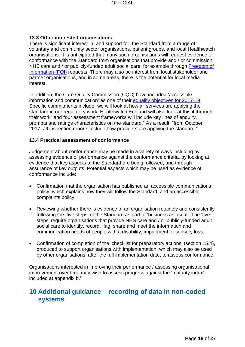#### **13.3 Other interested organisations**

There is significant interest in, and support for, the Standard from a range of voluntary and community sector organisations, patient groups, and local Healthwatch organisations. It is anticipated that many such organisations will request evidence of conformance with the Standard from organisations that provide and / or commission NHS care and / or publicly-funded adult social care, for example through [Freedom of](http://www.legislation.gov.uk/ukpga/2000/36/contents)  [Information \(FOI\)](http://www.legislation.gov.uk/ukpga/2000/36/contents) requests. There may also be interest from local stakeholder and partner organisations, and in some areas, there is the potential for local media interest.

In addition, the Care Quality Commission (CQC) have included 'accessible information and communication' as one of their [equality objectives for 2017-19.](http://www.cqc.org.uk/sites/default/files/20170321_equality_objectives_2017-19.pdf) Specific commitments include "we will look at how all services are applying the standard in our regulatory work. Healthwatch England will also look at this it through their work" and "our assessment frameworks will include key lines of enquiry, prompts and ratings characteristics on the standard." As a result, "from October 2017, all inspection reports include how providers are applying the standard."

#### **13.4 Practical assessment of conformance**

Judgement about conformance may be made in a variety of ways including by assessing evidence of performance against the conformance criteria, by looking at evidence that key aspects of the Standard are being followed, and through assurance of key outputs. Potential aspects which may be used as evidence of conformance include:

- Confirmation that the organisation has published an accessible communications policy, which explains how they will follow the Standard, and an accessible complaints policy.
- Reviewing whether there is evidence of an organisation routinely and consistently following the 'five steps' of the Standard as part of 'business as usual'. The 'five steps' require organisations that provide NHS care and / or publicly-funded adult social care to identify, record, flag, share and meet the information and communication needs of people with a disability, impairment or sensory loss.
- Confirmation of completion of the 'checklist for preparatory actions' (section 15.4), produced to support organisations with implementation, which may also be used by other organisations, after the full implementation date, to assess conformance.

Organisations interested in improving their performance / assessing organisational improvement over time may wish to assess progress against the 'maturity index' included at appendix b."

# <span id="page-17-0"></span>**10 Additional guidance – recording of data in non-coded systems**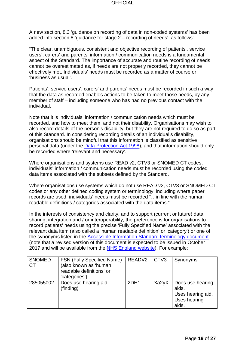A new section, 8.3 'guidance on recording of data in non-coded systems' has been added into section 8 'guidance for stage 2 – recording of needs', as follows:

"The clear, unambiguous, consistent and objective recording of patients', service users', carers' and parents' information / communication needs is a fundamental aspect of the Standard. The importance of accurate and routine recording of needs cannot be overestimated as, if needs are not properly recorded, they cannot be effectively met. Individuals' needs must be recorded as a matter of course or 'business as usual'.

Patients', service users', carers' and parents' needs must be recorded in such a way that the data as recorded enables actions to be taken to meet those needs, by any member of staff – including someone who has had no previous contact with the individual.

Note that it is individuals' information / communication needs which must be recorded, and how to meet them, and not their disability. Organisations may wish to also record details of the person's disability, but they are not required to do so as part of this Standard. In considering recording details of an individual's disability, organisations should be mindful that this information is classified as sensitive personal data (under the [Data Protection Act 1998\)](http://www.legislation.gov.uk/ukpga/1998/29/contents), and that information should only be recorded where 'relevant and necessary'.

Where organisations and systems use READ v2, CTV3 or SNOMED CT codes, individuals' information / communication needs must be recorded using the coded data items associated with the subsets defined by the Standard.

Where organisations use systems which do not use READ v2, CTV3 or SNOMED CT codes or any other defined coding system or terminology, including where paper records are used, individuals' needs must be recorded "…in line with the human readable definitions / categories associated with the data items."

In the interests of consistency and clarity, and to support (current or future) data sharing, integration and / or interoperability, the preference is for organisations to record patients' needs using the precise 'Fully Specified Name' associated with the relevant data item (also called a 'human readable definition' or 'category') or one of the synonyms listed in the [Accessible Information](https://www.england.nhs.uk/wp-content/uploads/2016/05/access-info-termnlgy-150416.pdf) Standard terminology document (note that a revised version of this document is expected to be issued in October 2017 and will be available from the [NHS England website\)](https://www.england.nhs.uk/ourwork/accessibleinfo/resources/). For example:

| <b>SNOMED</b><br><b>CT</b> | <b>FSN (Fully Specified Name)</b><br>(also known as 'human<br>readable definitions' or<br>'categories') | READV2 | $\vert$ CTV3 | Synonyms                                                                |
|----------------------------|---------------------------------------------------------------------------------------------------------|--------|--------------|-------------------------------------------------------------------------|
| 285055002                  | Does use hearing aid<br>(finding)                                                                       | 2DH1   | Xa2yX        | Does use hearing<br>aids.<br>Uses hearing aid.<br>Uses hearing<br>aids. |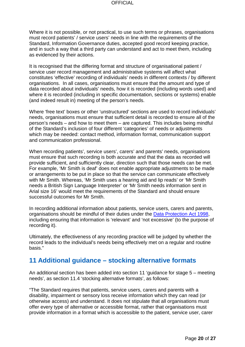Where it is not possible, or not practical, to use such terms or phrases, organisations must record patients' / service users' needs in line with the requirements of the Standard, Information Governance duties, accepted good record keeping practice, and in such a way that a third party can understand and act to meet them, including as evidenced by their actions.

It is recognised that the differing format and structure of organisational patient / service user record management and administrative systems will affect what constitutes 'effective' recording of individuals' needs in different contexts / by different organisations. In all cases, organisations must ensure that the amount and type of data recorded about individuals' needs, how it is recorded (including words used) and where it is recorded (including in specific documentation, sections or systems) enable (and indeed result in) meeting of the person's needs.

Where 'free text' boxes or other 'unstructured' sections are used to record individuals' needs, organisations must ensure that sufficient detail is recorded to ensure all of the person's needs – and how to meet them – are captured. This includes being mindful of the Standard's inclusion of four different 'categories' of needs or adjustments which may be needed: contact method, information format, communication support and communication professional.

When recording patients', service users', carers' and parents' needs, organisations must ensure that such recording is both accurate and that the data as recorded will provide sufficient, and sufficiently clear, direction such that those needs can be met. For example, 'Mr Smith is deaf' does not enable appropriate adjustments to be made or arrangements to be put in place so that the service can communicate effectively with Mr Smith. Whereas, 'Mr Smith uses a hearing aid and lip reads' or 'Mr Smith needs a British Sign Language Interpreter' or 'Mr Smith needs information sent in Arial size 16' would meet the requirements of the Standard and should ensure successful outcomes for Mr Smith.

In recording additional information about patients, service users, carers and parents, organisations should be mindful of their duties under the [Data Protection Act 1998,](http://www.legislation.gov.uk/ukpga/1998/29/contents) including ensuring that information is 'relevant' and 'not excessive' (to the purpose of recording it).

Ultimately, the effectiveness of any recording practice will be judged by whether the record leads to the individual's needs being effectively met on a regular and routine basis."

## <span id="page-19-0"></span>**11 Additional guidance – stocking alternative formats**

An additional section has been added into section 11 'guidance for stage 5 – meeting needs', as section 11.4 'stocking alternative formats', as follows:

"The Standard requires that patients, service users, carers and parents with a disability, impairment or sensory loss receive information which they can read (or otherwise access) and understand. It does not stipulate that all organisations must offer every type of alternative or accessible format, rather that organisations must provide information in *a* format which is accessible to the patient, service user, carer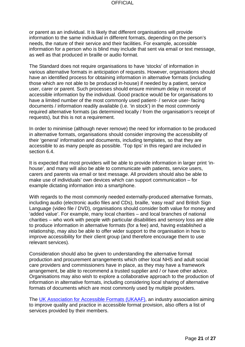or parent as an individual. It is likely that different organisations will provide information to the same individual in different formats, depending on the person's needs, the nature of their service and their facilities. For example, accessible information for a person who is blind may include that sent via email or text message, as well as that produced in braille or audio format.

The Standard does not require organisations to have 'stocks' of information in various alternative formats in anticipation of requests. However, organisations should have an identified process for obtaining information in alternative formats (including those which are not able to be produced in-house) if needed by a patient, service user, carer or parent. Such processes should ensure minimum delay in receipt of accessible information by the individual. Good practice would be for organisations to have a limited number of the most commonly used patient- / service user- facing documents / information readily available (i.e. 'in stock') in the most commonly required alternative formats (as determined locally / from the organisation's receipt of requests), but this is not a requirement.

In order to minimise (although never remove) the need for information to be produced in alternative formats, organisations should consider improving the accessibility of their 'general' information and documents, including templates, so that they are accessible to as many people as possible. 'Top tips' in this regard are included in section 6.4.

It is expected that most providers will be able to provide information in larger print 'inhouse', and many will also be able to communicate with patients, service users, carers and parents via email or text message. All providers should also be able to make use of individuals' own devices which can support communication – for example dictating information into a smartphone.

With regards to the most commonly needed externally-produced alternative formats, including audio (electronic audio files and CDs), braille, 'easy read' and British Sign Language (video file / DVD), organisations should consider both value for money and 'added value'. For example, many local charities – and local branches of national charities – who work with people with particular disabilities and sensory loss are able to produce information in alternative formats (for a fee) and, having established a relationship, may also be able to offer wider support to the organisation in how to improve accessibility for their client group (and therefore encourage them to use relevant services).

Consideration should also be given to understanding the alternative format production and procurement arrangements which other local NHS and adult social care providers and commissioners have in place, as they may have a framework arrangement, be able to recommend a trusted supplier and / or have other advice. Organisations may also wish to explore a collaborative approach to the production of information in alternative formats, including considering local sharing of alternative formats of documents which are most commonly used by multiple providers.

The [UK Association for Accessible Formats \(UKAAF\),](http://www.ukaaf.org/) an industry association aiming to improve quality and practice in accessible format provision, also offers a list of services provided by their members.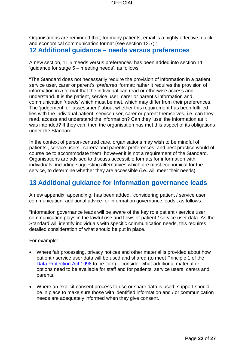Organisations are reminded that, for many patients, email is a highly effective, quick and economical communication format (see section 12.7)."

## <span id="page-21-0"></span>**12 Additional guidance – needs versus preferences**

A new section, 11.5 'needs versus preferences' has been added into section 11 'guidance for stage 5 – meeting needs', as follows:

"The Standard does not necessarily require the provision of information in a patient, service user, carer or parent's *'preferred'* format; rather it requires the provision of information in *a* format that the individual can read or otherwise access and understand. It is the patient, service user, carer or parent's information and communication *'needs'* which must be met, which may differ from their preferences. The 'judgement' or 'assessment' about whether this requirement has been fulfilled lies with the individual patient, service user, carer or parent themselves, i.e. can they read, access and understand the information? Can they 'use' the information as it was intended? If they can, then the organisation has met this aspect of its obligations under the Standard.

In the context of person-centred care, organisations may wish to be mindful of patients', service users', carers' and parents' preferences, and best practice would of course be to accommodate them, however it is not a requirement of the Standard. Organisations are advised to discuss accessible formats for information with individuals, including suggesting alternatives which are most economical for the service, to determine whether they are accessible (i.e. will meet their needs)."

# <span id="page-21-1"></span>**13 Additional guidance for information governance leads**

A new appendix, appendix g, has been added, 'considering patient / service user communication: additional advice for information governance leads', as follows:

"Information governance leads will be aware of the key role patient / service user communication plays in the lawful use and flows of patient / service user data. As the Standard will identify individuals with specific communication needs, this requires detailed consideration of what should be put in place.

For example:

- Where fair processing, privacy notices and other material is provided about how patient / service user data will be used and shared (to meet Principle 1 of the [Data Protection Act 1998](http://www.legislation.gov.uk/ukpga/1998/29/contents) to be 'fair') – consider what additional material or options need to be available for staff and for patients, service users, carers and parents.
- Where an explicit consent process to use or share data is used, support should be in place to make sure those with identified information and / or communication needs are adequately informed when they give consent.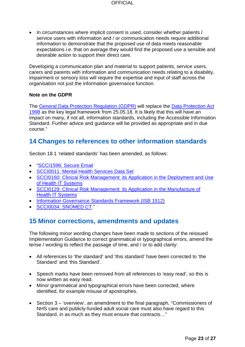• In circumstances where implicit consent is used, consider whether patients / service users with information and / or communication needs require additional information to demonstrate that the proposed use of data meets reasonable expectations i.e. that on average they would find the proposed use a sensible and desirable action to support their direct care.

Developing a communication plan and material to support patients, service users, carers and parents with information and communication needs relating to a disability, impairment or sensory loss will require the expertise and input of staff across the organisation not just the information governance function.

#### **Note on the GDPR**

The [General Data Protection Regulation \(GDPR\)](https://ico.org.uk/for-organisations/data-protection-reform/overview-of-the-gdpr/) will replace the [Data Protection Act](http://www.legislation.gov.uk/ukpga/1998/29/contents)  [1998](http://www.legislation.gov.uk/ukpga/1998/29/contents) as the key legal framework from 25.05.18. It is likely that this will have an impact on many, if not all, information standards, including the Accessible Information Standard. Further advice and guidance will be provided as appropriate and in due course."

# <span id="page-22-0"></span>**14 Changes to references to other information standards**

Section 18.1 'related standards' has been amended, as follows:

- ["SCCI1596: Secure Email](http://content.digital.nhs.uk/isce/publication/scci1596)
- [SCCI0011: Mental Health Services Data Set](http://content.digital.nhs.uk/isce/publication/scci0011)
- [SCCI0160: Clinical Risk Management: its Application in the Deployment and Use](http://content.digital.nhs.uk/isce/publication/SCCI0160)  [of Health IT Systems](http://content.digital.nhs.uk/isce/publication/SCCI0160)
- [SCCI0129: Clinical Risk Management: its Application in the Manufacture of](http://content.digital.nhs.uk/isce/publication/scci0129)  [Health IT Systems](http://content.digital.nhs.uk/isce/publication/scci0129)
- [Information Governance Standards Framework \(ISB 1512\)](http://www.isb.nhs.uk/library/standard/121)
- [SCCI0034: SNOMED CT.](http://content.digital.nhs.uk/isce/publication/scci0034)"

## <span id="page-22-1"></span>**15 Minor corrections, amendments and updates**

The following minor wording changes have been made to sections of the reissued Implementation Guidance to correct grammatical or typographical errors, amend the tense / wording to reflect the passage of time, and / or to add clarity:

- All references to 'the standard' and 'this standard' have been corrected to 'the Standard' and 'this Standard'.
- Speech marks have been removed from all references to 'easy read', so this is now written as easy read.
- Minor grammatical and typographical errors have been corrected, where identified, for example misuse of apostrophes.
- Section 3 'overview', an amendment to the final paragraph, "Commissioners of NHS care and publicly-funded adult social care must also have regard to this Standard, in as much as they must ensure that contracts…"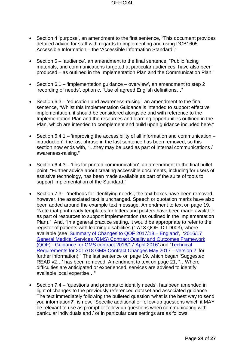- Section 4 'purpose', an amendment to the first sentence, "This document provides detailed advice for staff with regards to implementing and using DCB1605 Accessible Information – the 'Accessible Information Standard'."
- Section 5 'audience', an amendment to the final sentence, "Public facing materials, and communications targeted at particular audiences, have also been produced – as outlined in the Implementation Plan and the Communication Plan."
- Section 6.1 'implementation guidance overview', an amendment to step 2 'recording of needs', option c, "Use of agreed English definitions…"
- Section 6.3 'education and awareness-raising', an amendment to the final sentence, "Whilst this Implementation Guidance is intended to support effective implementation, it should be considered alongside and with reference to the Implementation Plan and the resources and learning opportunities outlined in the Plan, which are intended to complement and build upon guidance included here."
- Section 6.4.1 'improving the accessibility of all information and communication introduction', the last phrase in the last sentence has been removed, so this section now ends with, "…they may be used as part of internal communications / awareness-raising."
- Section 6.4.3 'tips for printed communication', an amendment to the final bullet point, "Further advice about creating accessible documents, including for users of assistive technology, has been made available as part of the suite of tools to support implementation of the Standard."
- Section 7.3 'methods for identifying needs', the text boxes have been removed, however, the associated text is unchanged. Speech or quotation marks have also been added around the example text message. Amendment to text on page 19, "Note that print-ready templates for letters and posters have been made available as part of resources to support implementation (as outlined in the Implementation Plan)." And, "In a general practice setting, it would be appropriate to refer to the register of patients with learning disabilities (17/18 QOF ID LD003), where available (see 'Summary of Changes to QOF 2017/18 - England', '2016/17 [General Medical Services \(GMS\) Contract Quality and Outcomes Framework](http://www.nhsemployers.org/~/media/Employers/Documents/Primary%20care%20contracts/QOF/2016-17/2016-17%20QOF%20guidance%20documents.pdf)  (QOF) - [Guidance for GMS contract 2016/17 April 2016'](http://www.nhsemployers.org/~/media/Employers/Documents/Primary%20care%20contracts/QOF/2016-17/2016-17%20QOF%20guidance%20documents.pdf) and ['Technical](http://www.nhsemployers.org/~/media/Employers/Documents/Primary%20care%20contracts/GMS/2017%2018%20Technical%20requirements%20for%20GMS%20contract%20changes.pdf)  [Requirements for 2017/18 GMS Contract Changes May 2017 –](http://www.nhsemployers.org/~/media/Employers/Documents/Primary%20care%20contracts/GMS/2017%2018%20Technical%20requirements%20for%20GMS%20contract%20changes.pdf) version 2' for further information)." The last sentence on page 19, which began 'Suggested READ v2…' has been removed. Amendment to text on page 21, "…Where difficulties are anticipated or experienced, services are advised to identify available local expertise…"
- Section 7.4 'questions and prompts to identify needs', has been amended in light of changes to the previously referenced dataset and associated guidance. The text immediately following the bulleted question 'what is the best way to send you information?', is now, "Specific additional or follow-up questions which it MAY be relevant to use as prompt or follow-up questions when communicating with particular individuals and / or in particular care settings are as follows: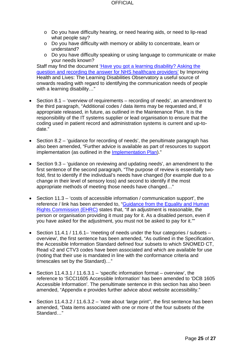- o Do you have difficulty hearing, or need hearing aids, or need to lip-read what people say?
- o Do you have difficulty with memory or ability to concentrate, learn or understand?
- o Do you have difficulty speaking or using language to communicate or make your needs known?

Staff may find the document 'Have you got a learning disability? Asking the [question and recording the answer for NHS healthcare providers'](http://webarchive.nationalarchives.gov.uk/20160704150527/http:/www.improvinghealthandlives.org.uk/gsf.php5?f=16219&fv=17365) by Improving Health and Lives: The Learning Disabilities Observatory a useful source of onwards reading with regard to identifying the communication needs of people with a learning disability..."

- Section 8.1 'overview of requirements recording of needs', an amendment to the third paragraph, "Additional codes / data items may be requested and, if appropriate released, in future, as outlined in the Maintenance Plan. It is the responsibility of the IT systems supplier or lead organisation to ensure that the coding used in patient record and administration systems is current and up-todate."
- Section 8.2 'guidance for recording of needs', the penultimate paragraph has also been amended, "Further advice is available as part of resources to support implementation (as outlined in the [Implementation Plan\)](https://www.england.nhs.uk/wp-content/uploads/2015/07/access-info-imp-plan.pdf)."
- Section 9.3 'guidance on reviewing and updating needs', an amendment to the first sentence of the second paragraph, "The purpose of review is essentially twofold, first to identify if the individual's needs have changed (for example due to a change in their level of sensory loss) and second to identify if the most appropriate methods of meeting those needs have changed…"
- Section 11.3 'costs of accessible information / communication support', the reference / link has been amended to, "Guidance from the Equality and Human [Rights Commission \(EHRC\)](https://www.equalityhumanrights.com/sites/default/files/equalityguidance-healthcare-socialcare-2015_0.pdf) states that, "If an adjustment is reasonable, the person or organisation providing it must pay for it. As a disabled person, even if you have asked for the adjustment, you must not be asked to pay for it.""
- Section 11.4.1 / 11.6.1– 'meeting of needs under the four categories / subsets overview', the first sentence has been amended, "As outlined in the Specification, the Accessible Information Standard defined four subsets to which SNOMED CT, Read v2 and CTV3 codes have been associated and which are available for use (noting that their use is mandated in line with the conformance criteria and timescales set by the Standard)…"
- Section 11.4.3.1 / 11.6.3.1 'specific information format overview', the reference to 'SCCI1605 Accessible Information' has been amended to 'DCB 1605 Accessible Information'. The penultimate sentence in this section has also been amended, "Appendix e provides further advice about website accessibility."
- Section 11.4.3.2 / 11.6.3.2 'note about 'large print'', the first sentence has been amended, "Data items associated with one or more of the four subsets of the Standard…"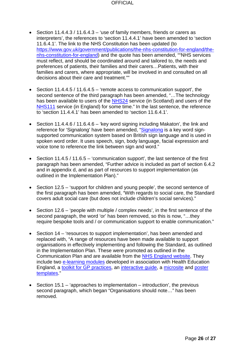- Section 11.4.4.3 / 11.6.4.3 'use of family members, friends or carers as interpreters', the references to 'section 11.4.4.1' have been amended to 'section 11.6.4.1'. The link to the NHS Constitution has been updated (to [https://www.gov.uk/government/publications/the-nhs-constitution-for-england/the](https://www.gov.uk/government/publications/the-nhs-constitution-for-england/the-nhs-constitution-for-england)[nhs-constitution-for-england\)](https://www.gov.uk/government/publications/the-nhs-constitution-for-england/the-nhs-constitution-for-england) and the quote has been amended, ""NHS services must reflect, and should be coordinated around and tailored to, the needs and preferences of patients, their families and their carers…Patients, with their families and carers, where appropriate, will be involved in and consulted on all decisions about their care and treatment.""
- Section 11.4.4.5 / 11.6.4.5 'remote access to communication support', the second sentence of the third paragraph has been amended, "…The technology has been available to users of the [NHS24](http://www.nhs24.com/contactus/otherlanguages/bsl/) service (in Scotland) and users of the [NHS111](http://www.interpreternow.co.uk/nhs111/) service (in England) for some time." In the last sentence, the reference to 'section 11.4.4.1' has been amended to 'section 11.6.4.1'.
- Section 11.4.4.6 / 11.6.4.6 'key word signing including Makaton', the link and reference for 'Signalong' have been amended, ["Signalong](http://www.signalong.org.uk/) is a key word signsupported communication system based on British sign language and is used in spoken word order. It uses speech, sign, body language, facial expression and voice tone to reference the link between sign and word."
- Section 11.4.5 / 11.6.5 'communication support', the last sentence of the first paragraph has been amended, "Further advice is included as part of section 6.4.2 and in appendix d, and as part of resources to support implementation (as outlined in the Implementation Plan)."
- Section 12.5 'support for children and young people', the second sentence of the first paragraph has been amended, "With regards to social care, the Standard covers adult social care (but does not include children's social services)."
- Section 12.6 'people with multiple / complex needs', in the first sentence of the second paragraph, the word 'or' has been removed, so this is now, "…they require bespoke tools and / or communication support to enable communication."
- Section 14 'resources to support implementation', has been amended and replaced with, "A range of resources have been made available to support organisations in effectively implementing and following the Standard, as outlined in the Implementation Plan. These were promoted as outlined in the Communication Plan and are available from the [NHS England website.](https://www.england.nhs.uk/ourwork/accessibleinfo/resources/) They include two [e-learning modules](http://www.e-lfh.org.uk/programmes/accessible-information-standard/open-access-sessions/) developed in association with Health Education England, a [toolkit for GP practices,](http://straighttalkers.org/dl/PrimaryCareAISToolkit.docx) an [interactive guide,](http://www.bracknell-forest.gov.uk/ais-interactive-guide-bracknell-forest-council.pdf) a [microsite](http://www.brentaccessibleinformation.nhs.uk/) and poster [templates.](http://www.bracknell-forest.gov.uk/poster-set-1-how-do-you-communicate.doc)"
- Section  $15.1 i$  approaches to implementation introduction', the previous second paragraph, which began "Organisations should note…" has been removed.